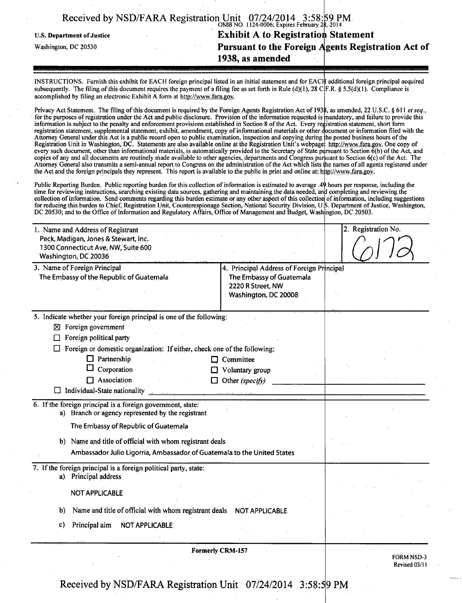| Received by NSD/FARA Registration $\frac{\text{Unit}}{\text{OMB NO. 1124-0006}}$ , Expires February 28, 2014 |                                                    |
|--------------------------------------------------------------------------------------------------------------|----------------------------------------------------|
| <b>U.S. Department of Justice</b>                                                                            | <b>Exhibit A to Registration Statement</b>         |
| Washington, DC 20530                                                                                         | Pursuant to the Foreign Agents Registration Act of |
|                                                                                                              | 1938, as amended                                   |

INSTRUCTIONS. Furnish this exhibit for EACH foreign principal listed in an initial statement and for EACI|I additional foreign principal acquired subsequently. The filing of this document requires the payment of a filing fee as set forth in Rule (d)(1), 28 C|F.R. § 5.5(d)(1). Compliance is accomplished by filing an electronic Exhibit A form at http://www.fara.gov.

Privacy Act Statement. The filing of this document is required by the Foreign Agents Registration Act of 1938, as amended, 22 U.S.C. § 611 et seq., for the purposes of registration under the Act and public disclosure. Provision of the information requested is mandatory, and failure to provide this information is subject to the penalty and enforcement provisions established in Section 8 of the Act. Every registration statement, short form registration statement, supplemental statement, exhibit, amendment, copy of informational materials or other document or information filed with the Attorney General under this Act is a public record open to public examination, inspection and copying during Registration Unit in Washington, DC. Statements are also available online at the Registration Unit's webpage every such document, other than informational materials, is automatically provided to the Secretary of State pursuant to Section 6(b) of the Act, and copies of any and all documents are routinely made available to other agencies, departments and Congress pursuant to Section 6(c) of the Act. The Attorney General also transmits a semi-annual report to Congress on the administration of the Act which lists the names of all agents registered under the Act and the foreign principals they represent. This report is available to the public in print and online at: http://www.fara.gov. he posted business hours of the http://www.fara.gov. One copy of

Public Reporting Burden. Public reporting burden for this collection of information is estimated to average .49 hours per response, including the time for reviewing instructions, searching existing data sources, gathering and maintaining the data needed, and completing and reviewing the collection of infonnation. Send comments regarding this burden estimate or any other aspect of this collection of information, including suggestions for reducing this burden to Chief, Registration Unit, Counterespionage Section, National Security Division, U. DC 20530; and to the Office of Information and Regulatory Affairs, Office of Management and Budget, Washington S. Department of Justice, Washington, :on, DC 20503.

| 1. Name and Address of Registrant                                        |                                           | 2. Registration No. |
|--------------------------------------------------------------------------|-------------------------------------------|---------------------|
| Peck, Madigan, Jones & Stewart, Inc.                                     |                                           |                     |
| 1300 Connecticut Ave, NW, Suite 600<br>Washington, DC 20036              |                                           |                     |
| 3. Name of Foreign Principal                                             | 4. Principal Address of Foreign Principal |                     |
| The Embassy of the Republic of Guatemala                                 | The Embassy of Guatemala                  |                     |
|                                                                          | 2220 R Street, NW<br>Washington, DC 20008 |                     |
|                                                                          |                                           |                     |
| 5. Indicate whether your foreign principal is one of the following:      |                                           |                     |
| $\boxtimes$ Foreign government                                           |                                           |                     |
| Foreign political party                                                  |                                           |                     |
| Foreign or domestic organization: If either, check one of the following: |                                           |                     |
| $\Box$ Partnership                                                       | Committee                                 |                     |
| Corporation                                                              | Voluntary group                           |                     |
| $\Box$ Association                                                       | Other (specify)                           |                     |
| Individual-State nationality                                             |                                           |                     |
| 6. If the foreign principal is a foreign government, state:              |                                           |                     |
| a) Branch or agency represented by the registrant                        |                                           |                     |
| The Embassy of Republic of Guatemala                                     |                                           |                     |
| Name and title of official with whom registrant deals<br>b)              |                                           |                     |
| Ambassador Julio Ligorria, Ambassador of Guatemala to the United States  |                                           |                     |
| 7. If the foreign principal is a foreign political party, state:         |                                           |                     |
| a) Principal address                                                     |                                           |                     |
| <b>NOT APPLICABLE</b>                                                    |                                           |                     |
| Name and title of official with whom registrant deals<br>b)              | <b>NOT APPLICABLE</b>                     |                     |
|                                                                          |                                           |                     |
| Principal aim<br><b>NOT APPLICABLE:</b><br>C)                            |                                           |                     |
|                                                                          |                                           |                     |
|                                                                          | <b>Formerly CRM-157</b>                   | <b>FORM NSD-3</b>   |
|                                                                          |                                           | Revised 03/11       |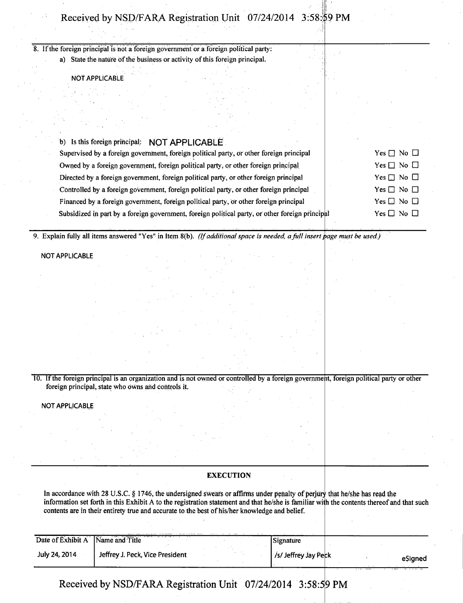If the foreign principal is nota foreign government or a foreign political party: a) State the nature of the business or activity of this foreign principal.

NOT APPLICABLE

| b) Is this foreign principal: NOT APPLICABLE                                                    |                            |
|-------------------------------------------------------------------------------------------------|----------------------------|
| Supervised by a foreign government, foreign political party, or other foreign principal         | Yes $\Box$ No $\Box$       |
| Owned by a foreign government, foreign political party, or other foreign principal              | Yes $\Box$ No $\Box$       |
| Directed by a foreign government, foreign political party, or other foreign principal           | Yes $\square$ No $\square$ |
| Controlled by a foreign government, foreign political party, or other foreign principal         | Yes $\Box$ No $\Box$       |
| Financed by a foreign government, foreign political party, or other foreign principal           | Yes $\square$ No $\square$ |
| Subsidized in part by a foreign government, foreign political party, or other foreign principal | Yes $\Box$ No $\Box$       |
|                                                                                                 |                            |

9. Explain fully all items answered "Yes" in Item 8(b). (If additional space is needed, a full insert page must be used.)

NOT APPLICABLE

10. If the foreign principal is an organization and is not owned or controlled by a foreign government, foreign political party or other foreign principal, state who owns and controls it.

NOT APPLICABLE

### **EXECUTION**

In accordance with 28 U.S.C. § 1746, the undersigned swears or affirms under penalty of perjury that he/she has read the information set forth in this Exhibit A to the registration statement and that he/she is familiar with the contents thereof and that such contents are in their entirety true and accurate to the best of his/her knowledge and belief.

| Date of Exhibit A | Name and Title                  | Signature            |  |         |
|-------------------|---------------------------------|----------------------|--|---------|
| July 24, 2014     | Jeffrey J. Peck, Vice President | /s/ Jeffrey Jay Peck |  | eSigned |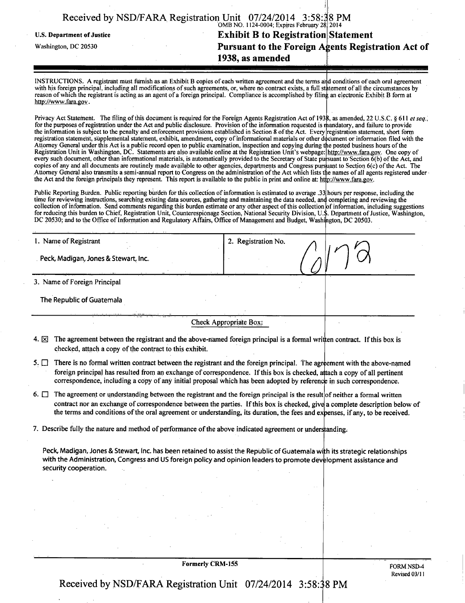| Received by NSD/FARA Registration Unit 07/24/2014 3:58:38 PM |                                              |  |
|--------------------------------------------------------------|----------------------------------------------|--|
|                                                              | $OMD NQ 1124 0004$ Evoires February 281.2014 |  |

U.S. Department of Justice

Washington, DC 20530

#### OMB NO. 1124-0004, Expires February 28 **Exhibit B to Registration Statement** Pursuant to the Foreign Agents Registration Act of **1938, as amended**   $2014$

INSTRUCTIONS. A registrant must furnish as an Exhibit B copies of each written agreement and the terms and conditions of each oral agreement with his foreign principal, including all modifications of such agreements, or, where no contract exists, a full statement of all the circumstances by reason of which the registrant is acting as an agent of a foreign principal. Compliance is accomplished by filing an electronic Exhibit B form at http://www.fara.gov.

Privacy Act Statement. The filing of this document is required for the Foreign Agents Registration Act of 1938, as amended, 22 U.S.C. § 611 et seq., for the purposes of registration under the Act and public disclosure. Provision of the infonnation requested is mandatory, and failure to provide the information is subject to the penalty and enforcement provisions established in Section 8 of the Act. Every registration statement, short form registration statement, supplemental statement, exhibit, amendment, copy of informational materials or other document or information filed with the Attorney General under this Act is a public record open to public examination, inspection and copying during Registration Unit in Washington, DC. Statements are also available online at the Registration Unit's webpage every such document, other than informational materials, is automatically provided to the Secretary of State pursuant to Section 6(b) of the Act, and copies of any and all documents are routinely made available to other agencies, departments and Congress pursuant to Section 6(c) of the Act. The Attorney General also transmits a semi-annual report to Congress on the administration of the Act which lists the names of all agents registered under the Act and the foreign principals they represent. This report is available to the public in print and online at: http://www.fara.gov. the posted business hours of the http://www.fara.gov. One copy of

Public Reporting Burden. Public reporting burden for this collection of information is estimated to average .33 hours per response, including the time for reviewing instructions, searching existing data sources, gathering and maintaining the data needed, and o collection of information. Send comments regarding this burden estimate or any other aspect of this collection c for reducing this burden to Chief, Registration Unit, Counterespionage Section, National Security Division, U. DC 20530; and to the Office of Information and Regulatory Affairs, Office of Management and Budget, Washington completing and reviewing the of information, including suggestions . Department of Justice, Washington, on, DC 20503.

| 1. Name of Registrant                                                                                                                                                                                                                  | 2. Registration No.    |  |
|----------------------------------------------------------------------------------------------------------------------------------------------------------------------------------------------------------------------------------------|------------------------|--|
| Peck, Madigan, Jones & Stewart, Inc.                                                                                                                                                                                                   |                        |  |
| 3. Name of Foreign Principal                                                                                                                                                                                                           |                        |  |
| The Republic of Guatemala                                                                                                                                                                                                              |                        |  |
|                                                                                                                                                                                                                                        | Check Appropriate Box: |  |
| The concentrate homicide also contained and the choice with all function with the control of the state of the control of the total of the control of the control of the control of the control of the control of the control o<br>. 55 |                        |  |

- 4. IXI The agreement between the registrant and the above-named foreign principal is a formal written contract. If this box is checked, attach a copy of the contract to this exhibit.
- 5.  $\Box$  There is no formal written contract between the registrant and the foreign principal. The agreement with the above-named foreign principal has resulted from an exchange of correspondence. If this box is checked, attach a copy of all pertinent correspondence, including a copy of any initial proposal which has been adopted by reference in such correspondence.
- 6.  $\Box$ The agreement or understanding between the registrant and the foreign principal is the result of neither a formal written contract nor an exchange of correspondence between the parties. If this box is checked, give a complete description below of the terms and conditions of the oral agreement or understanding, its duration, the fees and expenses, if any, to be received.
- 7. Describe fully the nature and method of performance of the above indicated agreement or understanding

Peck, Madigan, Jones & Stewart, Inc. has been retained to assist the Republic of Guatemala with its strategic relationships with the Administration, Congress and US foreign policy and opinion leaders to promote development assistance and security cooperation.

Formerly CRM-155

FORM NSD-4 Revised 03/11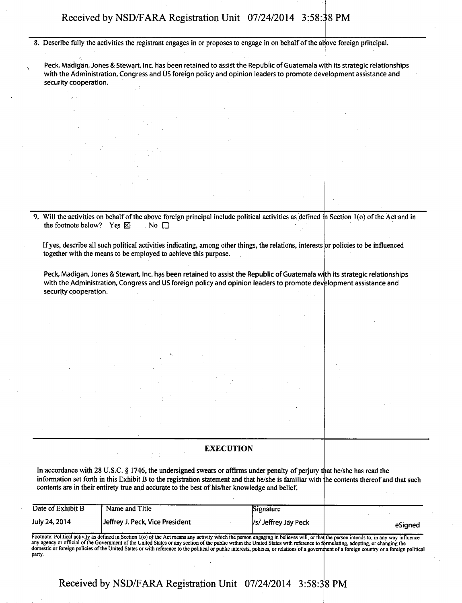**8. Describe fully the activities the registrant engages in or proposes to engage in on behalf of the above foreign principal** 

 $\sim$  Peck, Madigan, Jones & Stewart, Inc. has been retained to assist the Republic of Guatemala with its strategic relationships with the Administration, Congress and US foreign policy and opinion leaders to promote development assistance and security cooperation.

9. Will the activities on behalf of the above foreign principal include political activities as defined in Section 1(o) of the Act and in the footnote below? Yes  $\boxtimes$  No  $\Box$ **the footnote below?** Yes  $\boxtimes$ 

If yes, describe all such political activities indicating, among other things, the relations, interests or policies to be influenced **together with the means to be employed to achieve this purpose.** 

Peck, Madigan, Jones & Stewart, Inc. has been retained to assist the Republic of Guatemala with its strategic relationships with the Administration, Congress and US foreign policy and opinion leaders to promote development assistance and security cooperation.

### **EXECUTION**

In accordance with 28 U.S.C. § 1746, the undersigned swears or affirms under penalty of perjury that he/she has read the **information set forth in this Exhibit B to the registration statement and that he/she is familiar with he contents thereof and that such contents are in their entirety true and accurate to the best of his/her knowledge and belief.** 

| Date of Exhibit B                                                                                                                                                                                                                                                                                                                                                                                                                                                                                                                                                     | Name and Title                  | Signature            |         |  |  |
|-----------------------------------------------------------------------------------------------------------------------------------------------------------------------------------------------------------------------------------------------------------------------------------------------------------------------------------------------------------------------------------------------------------------------------------------------------------------------------------------------------------------------------------------------------------------------|---------------------------------|----------------------|---------|--|--|
| July 24, 2014                                                                                                                                                                                                                                                                                                                                                                                                                                                                                                                                                         | Jeffrey J. Peck, Vice President | /s/ Jeffrey Jay Peck | eSianed |  |  |
| Footnote: Political activity as defined in Section 1(o) of the Act means any activity which the person engaging in believes will, or that the person intends to, in any way influence<br>any agency or official of the Government of the United States or any section of the public within the United States with reference to formulating, adopting, or changing the<br>domestic or foreign policies of the United States or with reference to the political or public interests, policies, or relations of a government of a foreign country or a foreign political |                                 |                      |         |  |  |

**Received by NSD/FARA Registration Unit 07/24/2014 3:58:38 PM** 

party.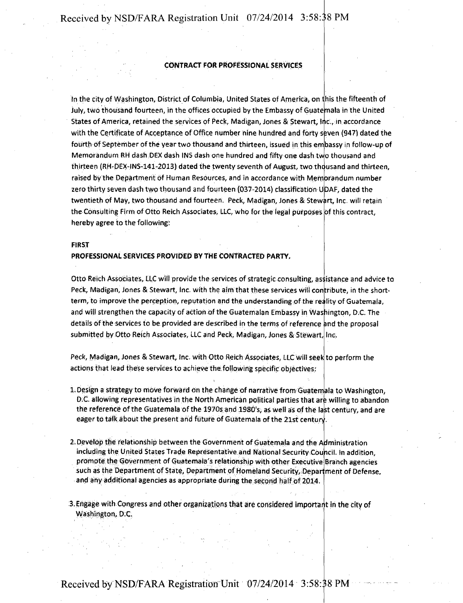### **CONTRACT FOR PROFESSIONAL SERVICES**

Memorandum RH dash DEX dash INS dash one hundred and fifty one dash two thousand and In the city of Washington, District of Columbia, United States of America, on this the fifteenth of July, two thousand fourteen, in the offices occupied by the Embassy of Guatemala in the United States of America, retained the services of Peck, Madigan, Jones & Stewart, Inc., in accordance with the Certificate of Acceptance of Office number nine hundred and forty sfeven (947) dated the fourth of September of the year two thousand and thirteen, issued in this em bassy in follow-up of thirteen (RH-DEX-INS-141-2013) dated the twenty seventh of August, two thdusand and thirteen, raised by the Department of Human Resources, and in accordance with Memorandum number zero thirty seven dash two thousand and fourteen (037-2014) classification U'DAF, dated the twentieth of May, two thousand and fourteen. Peck, Madigan, Jones & Stewart, Inc. will retain the Consulting Firm of Otto Reich Associates, LLC, who for the legal purposes of this contract, hereby agree to the following:

#### **FIRST**

#### **PROFESSIONAL SERVICES PROVIDED BY THE CONTRACTED PARTY.**

Otto Reich Associates, LLC will provide the services of strategic consulting, assistance and advice to Peck, Madigan, Jones & Stewart, Inc. with the aim that these services will contribute, in the shortterm, to improve the perception, reputation and the understanding of the reality of Guatemala, and will strengthen the capacity of action of the Guatemalan Embassy in Washington, D.C. The details of the services to be provided are described in the terms of reference and the proposal submitted by Otto Reich Associates, LLC and Peek, Madigan, Jones & Stewart, Inc.

Peck, Madigan, Jones & Stewart, Inc. with Otto Reich Associates, LLC will seek to perform the actions that lead these services to achieve the,following specific objectives:

- 1. Design a strategy to move forward on the change of narrative from Guatemala to Washington, D.C. allowing representatives in the North American political parties that are willing to abandon. the reference of the Guatemala of the 1970s and 1980's, as well as of the last century, and are eager to talk about the present and future of Guatemala of the 21st century.
- 2. Develop the relationship between the Government of Guatemala and the Administration including the United States Trade Representative and National Security Coupcif . in addition, promote the Government of Guatemala's relationship with other Executive Branch agencies such as the Department of State, Department of Homeland Security, Department of Defense, and any additional agencies as appropriate during the second half of 2014
- 3. Engage with Congress and other organizations that are considered important in the city of Washington, D.C.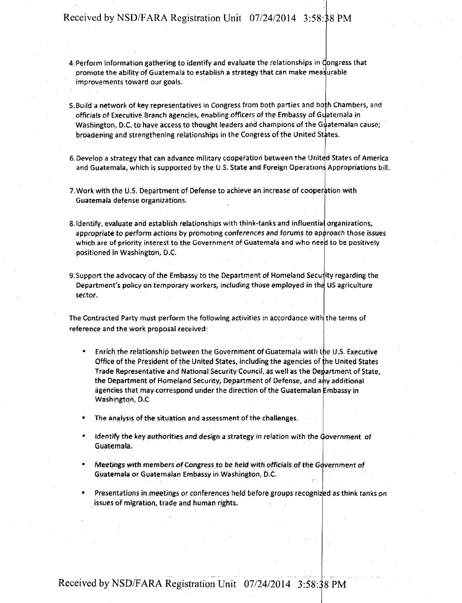- 4 Perform information gathering to identify and evaluate the relationships in Congress that promote the ability of Guatemala to establish a strategy that can make measurable improvements toward our goals.
- 5. Build a network of key representatives in Congress from both parties and both Chambers, and officials of Executive Branch agencies, enabling officers of the Embassy of Guatemala in Washington, D.C. to have access to thought leaders and champions of the Guatemalan cause; broadening and strengthening relationships in the Congress of the United States.
- 6. Develop a strategy that cab advance military cooperation between the Unitejd States of America and Guatemala, which is supported by the U.S. State and Foreign Operations Appropriations bill.
- 7. Work with the U.S. Department df Defense to achieve ah increase of cooperation with Guatemala defense organizations.
- . Identify, evaluate and establish relationships with think-tanks and influential organizations, appropriate to perform actions by promoting conferences and forums to approach those issues which are of priority interest to the Government of Guatemala and who heed to be positively positioned in Washington, D.C.
- 9. Support the advocacy of the Embassy to the Department of Homeland Seculity regarding the Department's policy on temporary workers, including those employed in the US agriculture sector.

The Contracted Party must perform the following activities in accordance with the terms of reference and the work proposal received:

- Enrich the relationship between the Government of Guatemala with the U.S. Executive Office of the President of the United States, including the agencies of the United States Trade Representative and National Security Council, as well as the Department of State, the Department of Homeland Security, Department of Defense, and any additional agencies that may correspond under the direction of the Guatemalan Embassy in Washington, D.C
- The analysis of the situation and assessment of the challenges.
- Identify the key authorities and design a strategy in relation with the Government of Guatemala.
- Meetings with members of Congress to be-held with officials of the Government of Guatemala or Guatemalan Embassy in Washington, D C.
- Presentations in meetings or conferences held before groups reeoghizjed as think tanks on issues of migration, trade and human rights.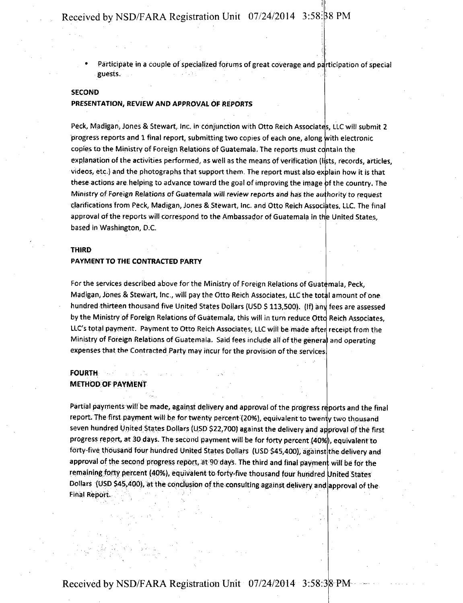• Participate in a couple of specialized forums of great coverage and participation of special . guests.

### **SECOND**

#### **PRESENTATION, REVIEW AND APPROVAL OF REPORTS**

Peck, Madigan, Jones & Stewart, Inc. in conjunction with Otto Reich Associates, LLC will submit 2 progress reports and 1 final report, submitting two copies of each one, along with electronic copies to the Ministry of Foreign Relations of Guatemala. The reports must contain the explanation of the activities performed, as well as the means of verification (lists, records, articles, videos, etc.) and the photographs that support them. The report must also explain how it is that these actions are helping to advance toward the goal of improving the image of the country. The Ministry of Foreign Relations of Guatemala will review reports and has the authority to request clarifications from Peck, Madigan, Jones & Stewart, Inc. and Otto Reich Associates, LLC. The final approval of the reports will correspond to the Ambassador of Guatemala in the United States, based in Washington, D.C.

#### **THIRD**

#### **PAYMENT TO THE CONTRACTED PARTY**

For the services described above for the Ministry of Foreign Relations of Guatemala, Peck, Madigan, Jones & Stewart, Inc., will pay the Otto Reich Associates, LLC the total amount of one hundred thirteen thousand five United States Dollars (USD \$ 113,500). (If) any fees are assessed by the Ministry of Foreign Relations of Guatemala, this will in turn reduce Otto Reich Associates, LLC's total payment. Payment to Otto Reich Associates, LLC will be made after receipt from the Ministry of Foreign Relations of Guatemala. Said fees include all of the genera and operating expenses that the Contracted Party may incur for the provision of the services

## **FOURTH METHOD OF PAYMENT**

Partial payments will be made, against delivery and approval of the progress reports and the final report The first payment will be for twenty percent (20%), equivalent to twenty two thousand seven hundred United States Dollars (USD \$22,700) against the delivery and approval of the first progress report, at 30 days. The second payment will be for forty percent (40%), equivalent to forty-five thousand four hundred United States Dollars (USD \$45,400), against the delivery and approval of the second progress report, at 90 days. The third and final payment will be for the remaining forty percent (40%), equivalent to forty-five thousand four hundred United States Dollars (USD \$45,400), at the conclusion of the consulting against delivery and approval of the Final Report.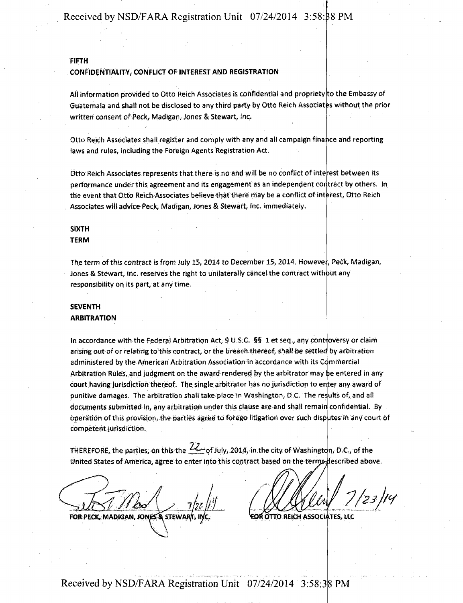#### **FIFTH**

#### CONFIDENTIALITY, CONFLICT OF INTEREST AND REGISTRATION

All information provided to Otto Reich Associates is confidential and propriety to the Embassy of Guatemala and shall not be disclosed to any third party by Otto Reich Associates without the prior written consent of Peck, Madigan, Jones & Stewart, |nc.

Otto Reich Associates shall register and comply with any and all campaign finance and reporting laws and rules, including the Foreign Agents Registration Act.

Otto Reich Associates represents that there is no and will be no conflict of intelrest between its performance under this agreement and its engagement as an independent contract by others. In the event that Otto Reich Associates believe that there may be a conflict of interest, Otto Reich Associates will advice Peck, Madigan, Jones & Stewart, Inc. immediately.

### SIXTH TERM

The term of this contract is from July 15, 2014 to December 15, 2014. However, Peck, Madigan, Jones & Stewart, inc. reserves the right to unilaterally cancel the contract without any responsibility on its part, at any time.

# SEVENTH

#### ARBITRATION

Arbitration Rules, and judgment on the award rendered by the arbitrator may be entered in any court having jurisdiction thereof. The single arbitrator has no jurisdiction to enter any award of In accordance with the Federal Arbitration Act, 9 U.S.C.  $\S$ § 1 et seq., any controversy or claim arising out of or relating to this contract, or the breach thereof, shall be settled by arbitration administered by the American Arbitration Association in accordance with its Commercial punitive damages. The arbitration shall take place in Washington, D.C. The results of, and all documents submitted in, any arbitration under this clause are and shall remain confidential. By operation of this provision, the parties agree to forego litigation over such disputes in any court of competent jurisdiction.

THEREFORE, the parties, on this the  $Z_{\rightarrow}$  of July, 2014, in the city of Washington, D.C., of the United States of America, agree to enter into this contract based on the terrrjs4lescribed above.

^7. FOR PECK, MADIGAN, JONES & STEWARI, INC. **OTHOR OTTO REICH ASSOCIATES, LLC** 

 $_{23}^{\prime}$  /ry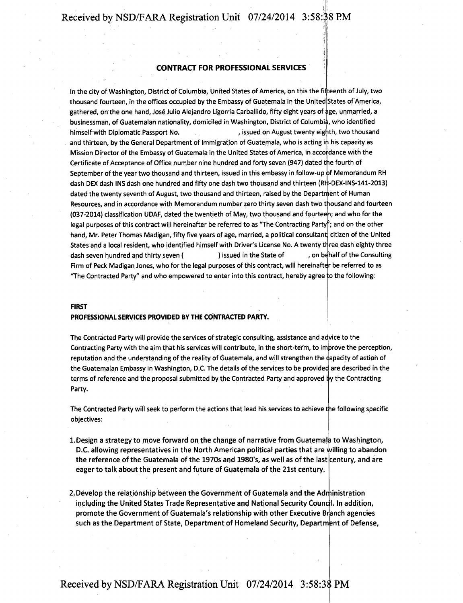#### **CONTRACT FOR PROFESSIONAL SERVICES**

In the city of Washington, District of Columbia, United States of America, on this the fifteenth of July, two thousand fourteen, in the offices occupied by the Embassy of Guatemala in the United States of America, gathered, on the one hand, Jose Julio Alejandro Ligorria Carballido, fifty eight years of age, unmarried, a businessman, of Guatemalan nationality, domiciled in Washington, District of Columbia, who identified himself with Diplomatic Passport No.  $\qquad \qquad$ , issued on August twenty eighth, two thousand and thirteen, by the General Department of Immigration of Guatemala, who is acting in his capacity as Mission Director of the Embassy of Guatemala in the United States of America, in accordance with the Certificate of Acceptance of Office number nine hundred and forty seven (947) dated the fourth of September of the year two thousand and thirteen, issued in this embassy in follow-up of Memorandum RH dash DEX dash INS dash one hundred and fifty one dash two thousand and thirteen (RH-DEX-INS-141-2013) dated the twenty seventh of August, two thousand and thirteen, raised by the Department of Human Resources, and in accordance with Memorandum number zero thirty seven dash two thousand and fourteen (037-2014) classification UDAF, dated the twentieth of May, two thousand and fourteen; and who for the legal purposes of this contract will hereinafter be referred to as "The Contracting Party"; and on the other hand, Mr. Peter Thomas Madigan, fifty five years of age, married, a political consultant, citizen of the United States and a local resident, who identified himself with Driver's License No. A twenty three dash eighty three dash seven hundred and thirty seven ( ) issued in the State of , on behalf of the Consulting Firm of Peck Madigan Jones, who for the legal purposes of this contract, will hereinafter be referred to as 'The Contracted Party" and who empowered to enter into this contract, hereby agree :o the following:

#### FIRST

#### PROFESSIONAL SERVICES PROVIDED BY THE CONTRACTED PARTY.

The Contracted Party will provide the services of strategic consulting, assistance and advice to the Contracting Party with the aim that his services will contribute, in the short-term, to improve the perception, reputation and the understanding of the reality of Guatemala, and will strengthen the Rapacity of action of the Guatemalan Embassy in Washington, D.C. The details of the services to be provided are described in the terms of reference and the proposal submitted by the Contracted Party and approved by the Contracting Party.

The Contracted Party will seek to perform the actions that lead his services to achieve tpe following specific objectives:

- 1. Design a strategy to move forward on the change of narrative from Guatemala to Washington, D.C. allowing representatives in the North American political parties that are filling to abandon the reference of the Guatemala of the 1970s and 1980's, as well as of the last century, and are eager to talk about the present and future of Guatemala of the 21st century
- 2. Develop the relationship between the Government of Guatemala and the Administration including the United States Trade Representative and National Security Council. In addition, promote the Government of Guatemala's relationship with other Executive Branch agencies such as the Department of State, Department of Homeland Security, Department of Defense,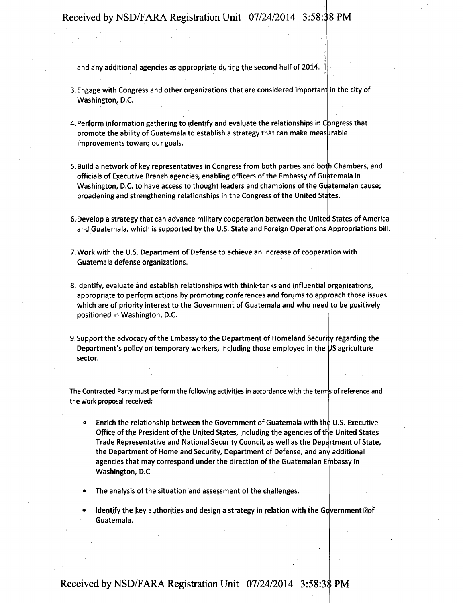and any additional agencies as appropriate during the second half of 2014.

- 3. Engage with Congress and other organizations that are considered important in the city of Washington, D.C.
- 4. Perform information gathering to identify and evaluate the relationships in Congress that promote the ability of Guatemala to establish a strategy that can make measurable improvements toward our goals.
- 5. Build a network of key representatives in Congress from both parties and both Chambers, and officials of Executive Branch agencies, enabling officers of the Embassy of Guatemala in Washington, D.C. to have access to thought leaders and champions of the Guatemalan cause; broadening and strengthening relationships in the Congress of the United States.
- 6.Develop a strategy that can advance military cooperation between the United States of America and Guatemala, which is supported by the U.S. State and Foreign Operations [Appropriations bill.
- 7. Work with the U.S. Department of Defense to achieve an increase of cooperation with Guatemala defense organizations.
- 8. Identify, evaluate and establish relationships with think-tanks and influential prganizations, appropriate to perform actions by promoting conferences and forums to approach those issues which are of priority interest to the Government of Guatemala and who need to be positively positioned in Washington, D.C.
- 9. Support the advocacy of the Embassy to the Department of Homeland Security regarding the Department's policy on temporary workers, including those employed in the JS agriculture sector.

The Contracted Party must perform the following activities in accordance with the termjs of reference and the work proposal received:

- Enrich the relationship between the Government of Guatemala with the U.S. Executive Office of the President of the United States, including the agencies of the United States Trade Representative and National Security Council, as well as the Department of State, the Department of Homeland Security, Department of Defense, and any additional agencies that may correspond under the direction of the Guatemalan Embassy in Washington, D.C
- The analysis of the situation and assessment of the challenges.
- Identify the key authorities and design a strategy in relation with the Government Oof Guatemala.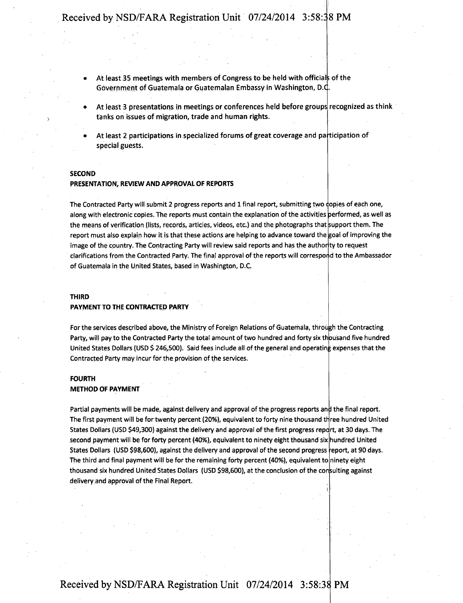- At least 35 meetings with members of Congress to be held with officials of the Government of Guatemala or Guatemalan Embassy in Washington, D.C.
- At least 3 presentations in meetings or conferences held before groups recognized as think tanks on issues of migration, trade and human rights.
- At least 2 participations in specialized forums of great coverage and participation of special guests.

#### **SECOND**

#### **PRESENTATION, REVIEW AND APPROVAL OF REPORTS**

The Contracted Party will submit 2 progress reports and 1 final report, submitting two dopies of each one, along with electronic copies. The reports must contain the explanation of the activities performed, as well as the means of verification (lists, records, articles, videos, etc.) and the photographs that support them. The report must also explain how it is that these actions are helping to advance toward the goal of improving the image of the country. The Contracting Party will review said reports and has the authority to request clarifications from the Contracted Party. The final approval of the reports will correspond to the Ambassador of Guatemala in the United States, based in Washington, D.C,

#### **THIRD**

#### **PAYMENT TO THE CONTRACTED PARTY**

For the services described above, the Ministry of Foreign Relations of Guatemala, through the Contracting Party, will pay to the Contracted Party the total amount of two hundred and forty six thousand five hundred United States Dollars (USD \$ 246,500). Said fees include all of the general and operating expenses that the Contracted Party may incur for the provision of the services.

#### **FOURTH**

#### **METHOD OF PAYMENT**

The first payment will be for twenty percent (20%), equivalent to forty nine thousand three hundred United Partial payments will be made, against delivery and approval of the progress reports and the final report. States Dollars (USD \$49,300) against the delivery and approval of the first progress repdrt, at 30 days. The second payment will be for forty percent (40%), equivalent to ninety eight thousand six hundred United States Dollars (USD \$98,600), against the delivery and approval of the second progress report, at 90 days. The third and final payment will be for the remaining forty percent (40%), equivalent to ninety eight thousand six hundred United States Dollars (USD \$98,600), at the conclusion of the consulting against delivery and approval of the Final Report.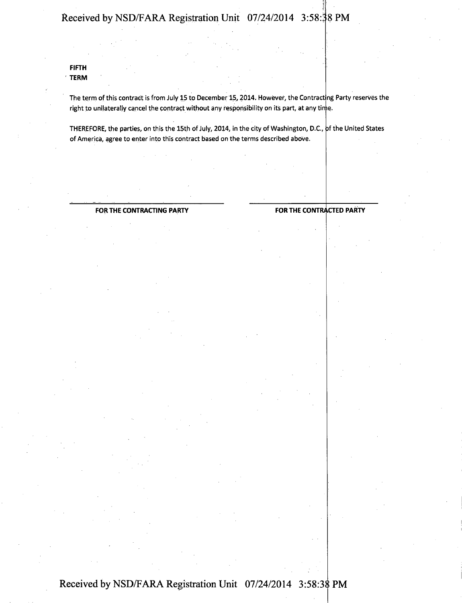**FIFTH TERM** 

> The term of this contract is from July 15 to December 15, 2014. However, the Contracting Party reserves the right to unilaterally cancel the contract without any responsibility on its part, at any time

THEREFORE, the parties, on this the 15th of July, 2014, in the city of Washington, D.C, jf the United States of America, agree to enter into this contract based on the terms described above.

#### **FOR THE CONTRACTING PARTY FOR THE CONTRACTED PARTY**

**} f**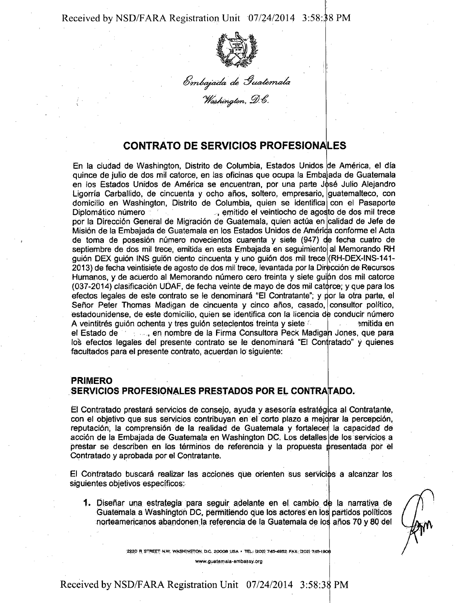

Embajada de Guatemala<br>Washington, D.C.

# **CONTRATO DE SERVICIOS PROFESIONALES**

En la ciudad de Washington, Distrito de Columbia, Estados Unidos de América, el día quince de julio de dos mil catorce, en las oficinas que ocupa la Emba ada de Guatemala en los Estados Unidos de América se encuentran, por una parte José Julio Alejandro Ligorría Carballido, de cincuenta y ocho años, soltero, empresario, guatemalteco, con domicilio en Washington, Distrito de Columbia, quien se identifica con el Pasaporte Diplomático número septiembre de dos mil trece, emitida en esta Embajada en seguimiento al Memorando RH guión DEX guión INS guión ciento cincuenta y uno guión dos mil trece (RH-DEX-INS-141-, emitido el veintiocho de agosto de dos mil trece por la Dirección General de Migración de Guatemala, quien actúa en calidad de Jefe de Misión de la Embajada de Guatemala en los Estados Unidos de América conforme el Acta de toma de posesion numero novecientos cuarenta y siete (947) de fecha cuatro de 2013) de fecha veintisiete de agosto de dos mil trece, levantada por la Dirección de Recursos Humanos, y de acuerdo al Memorando número cero treinta y siete guipn dos mil catorce (037-2014) clasificacidn UDAF, de fecha veinte de mayo de dos mil catorce; y que para los efectos legales de este contrato se le denominará "El Contratante"; y por la otra parte, el Señor Peter Thomas Madigan de cincuenta y cinco años, casado, consultor político, estadounidense, de este domicilio, quien se identifica con la licencia de conducir número A veintitrés guión ochenta y tres guión setecientos treinta y siete  $\sim$   $\frac{1}{\sqrt{m}}$  emitida en el Estado de *interiora, en nombre de la Firma Consultora Peck Madigan Jones, que para* los efectos legales del presente contrato se le denominará "El Contratado" y quienes facultados para el presente contrato, acuerdan lo siguiente:

# **PRIMERO**

# SERVICIOS PROFESIONALES PRESTADOS POR EL CONTRATADO.

El Contratado prestará servicios de consejo, ayuda y asesoría estratégica al Contratante, con el objetivo que sus servicios contribuyan en el corto plazo a mejorar la percepcion, reputacion, la comprehsion de la realidad de Guatemala y fortalecer la capacidad de acción de la Embajada de Guatemala en Washington DC. Los detalles de los servicios a prestar se describen en los términos de referencia y la propuesta presentada por el Contratado y aprobada por el Contratante.

El Contratado buscara realizar las acciones que orienten sus servicips a alcanzar los siguientes objetivos especificos:

1. Diseñar una estrategia para seguir adelante en el cambio de la narrativa de Guatemala a Washington DC, permitiendo que los actores en los partidos políticos norteamericanos abandonen la referencia de la Guatemala de los años 70 y 80 del

2220 a STREET N.W. WASHINGTON D.C 20OO8 USA . TEL: (202) 743^4932 FAX. !202! 74S-190II

www.guatemala-ernbassy.prg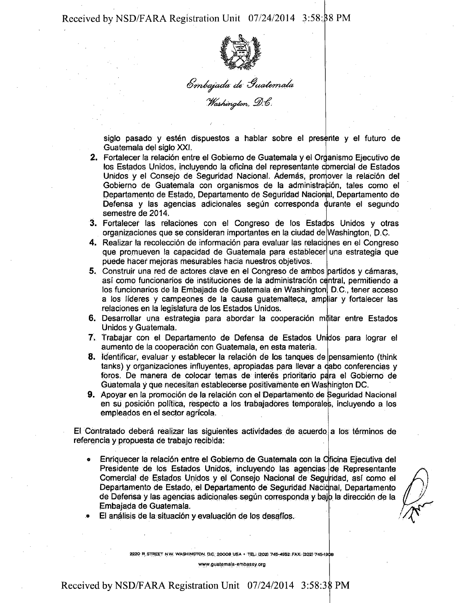

Embajada de Guatemala<br>"Washington, D.C.

siglo pasado y esten dispuestos a hablar sobre el presente y el futuro de Guatemala del siglo XXI.

- 2. Fortalecer la relación entre el Gobierno de Guatemala y el Organismo Ejecutivo de los Estados Unidos, incluyendo la oficina del representante comercial de Estados Unidos y el Consejo de Seguridad Nacional. Además, promover la relación del Gobierno de Guatemala con organismos de la administración, tales como el Departamento de Estado, Departamento de Seguridad Nacional, Departamento de Defensa y las agencias adicionales según corresponda durante el segundo semestre de 2014.
- 3. Fortalecer las relaciones con el Congreso de los Estados Unidos y otras organizaciones que se consideran importantes en la ciudad de' Washington, D.C-
- 4. Realizar la recolección de información para evaluar las relaciones en el Congreso que promueven la capacidad de Guatemala para establecer una estrategia que puede hacer mejoras mesurables hacia nuestros objetivos.
- 5. Construir una red de actores clave en el Congreso de ambos partidos y cámaras, asi como funcionarios de instituciones de la administracion oe ntral, permitiendo a los funcionarios de la Embajada de Guatemala en Washington D.C., tener acceso a los líderes y campeones de la causa guatemalteca, ampliar y fortalecer las relaciones en la legislatura de los Estados Unidos.
- 6. Desarrollar una estrategia para abordar la cooperación militar entre Estados Unidos y Guatemala.
- 7. Trabajar con el Departamento de Defensa de Estados Unidos para lograr el aumento de la cooperación con Guatemala, en esta materia.
- 8. Identificar, evaluar y establecer la relación de los tanques de pensamiento (think tanks) y organizaciones influyentes, apropiadas para llevar a cabo conferencias y foros. De manera de colocar temas de interés prioritario para el Gobierno de Guatemala y que necesitan establecerse positivamente en Washington DC.
- 9. Apoyar en la promocion de la relacion con el Departamento de Seguridad Nadonal en su posición política, respecto a los trabajadores temporales, incluyendo a los empleados en el sector agricola.

El Contratado deberá realizar las siguientes actividades de acuerdo a los términos de referenda y propuesta de trabajo recibida:

de Defensa y las agencias adicionales según corresponda y bajo la dirección de la « Enriquecer la relacion entre el Gobierno de Guatemala con la Clficina Ejecutiva del Presidente de los Estados Unidos, incluyendo las agencias de Representante Comercial de Estados Unidos y el Consejo Nacional de Seguridad, así como el Departamento de Estado, el Departamento de Seguridad Naciqnal, Departamento Embajada de Guatemala.

El análisis de la situación y evaluación de los desafíos.

2220 R, STREET N W. WASHINGTON. D.C 20008 USA « TEL: (202) 745-4952 FAX: (202! 745-1908

www.gualemaia-embassy.org